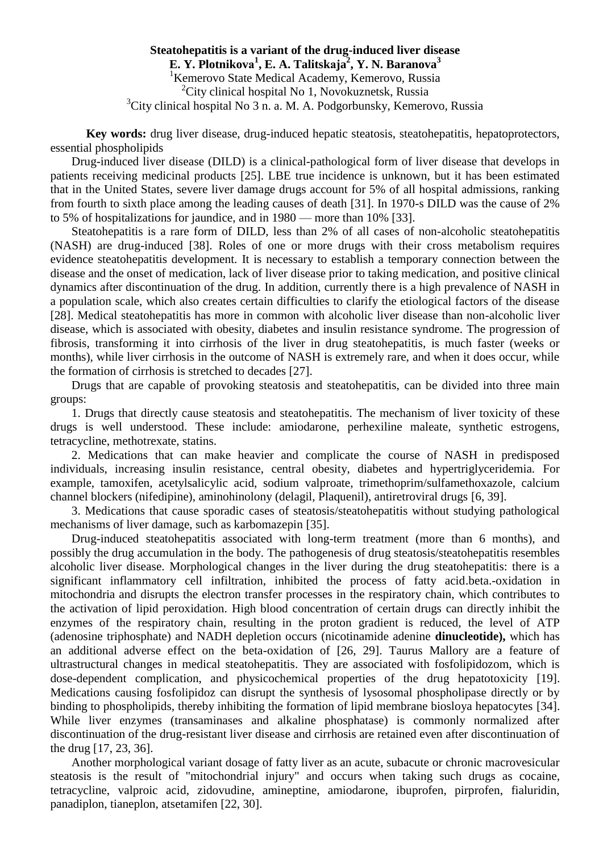**Steatohepatitis is a variant of the drug-induced liver disease E. Y. Plotnikovа 1 , E. A. Talitskаja<sup>2</sup> , Y. N. Baranova<sup>3</sup>** <sup>1</sup> Kemerovo State Medical Academy, Kemerovo, Russia  $2$ City clinical hospital No 1, Novokuznetsk, Russia  ${}^{3}$ City clinical hospital No 3 n. a. M. A. Podgorbunsky, Kemerovo, Russia

**Key words:** drug liver disease, drug-induced hepatic steatosis, steatohepatitis, hepatoprotectors, essential phospholipids

Drug-induced liver disease (DILD) is a clinical-pathological form of liver disease that develops in patients receiving medicinal products [\[25\]](https://translate.googleusercontent.com/translate_f#_Ref463020140). LBE true incidence is unknown, but it has been estimated that in the United States, severe liver damage drugs account for 5% of all hospital admissions, ranking from fourth to sixth place among the leading causes of death [\[31\]](https://translate.googleusercontent.com/translate_f#_Ref463020144). In 1970-s DILD was the cause of 2% to 5% of hospitalizations for jaundice, and in 1980 — more than 10% [\[33\]](https://translate.googleusercontent.com/translate_f#_Ref463020147).

Steatohepatitis is a rare form of DILD, less than 2% of all cases of non-alcoholic steatohepatitis (NASH) are drug-induced [\[38\]](https://translate.googleusercontent.com/translate_f#_Ref463020151). Roles of one or more drugs with their cross metabolism requires evidence steatohepatitis development. It is necessary to establish a temporary connection between the disease and the onset of medication, lack of liver disease prior to taking medication, and positive clinical dynamics after discontinuation of the drug. In addition, currently there is a high prevalence of NASH in a population scale, which also creates certain difficulties to clarify the etiological factors of the disease [\[28\]](https://translate.googleusercontent.com/translate_f#_Ref463020157). Medical steatohepatitis has more in common with alcoholic liver disease than non-alcoholic liver disease, which is associated with obesity, diabetes and insulin resistance syndrome. The progression of fibrosis, transforming it into cirrhosis of the liver in drug steatohepatitis, is much faster (weeks or months), while liver cirrhosis in the outcome of NASH is extremely rare, and when it does occur, while the formation of cirrhosis is stretched to decades [\[27\]](https://translate.googleusercontent.com/translate_f#_Ref463020162).

Drugs that are capable of provoking steatosis and steatohepatitis, can be divided into three main groups:

1. Drugs that directly cause steatosis and steatohepatitis. The mechanism of liver toxicity of these drugs is well understood. These include: amiodarone, perhexiline maleate, synthetic estrogens, tetracycline, methotrexate, statins.

2. Medications that can make heavier and complicate the course of NASH in predisposed individuals, increasing insulin resistance, central obesity, diabetes and hypertriglyceridemia. For example, tamoxifen, acetylsalicylic acid, sodium valproate, trimethoprim/sulfamethoxazole, calcium channel blockers (nifedipine), aminohinolony (delagil, Plaquenil), antiretroviral drugs [\[6,](https://translate.googleusercontent.com/translate_f#_Ref463020188) [39\]](https://translate.googleusercontent.com/translate_f#_Ref463020184).

3. Medications that cause sporadic cases of steatosis/steatohepatitis without studying pathological mechanisms of liver damage, such as karbomazepin [\[35\]](https://translate.googleusercontent.com/translate_f#_Ref463020194).

Drug-induced steatohepatitis associated with long-term treatment (more than 6 months), and possibly the drug accumulation in the body. The pathogenesis of drug steatosis/steatohepatitis resembles alcoholic liver disease. Morphological changes in the liver during the drug steatohepatitis: there is a significant inflammatory cell infiltration, inhibited the process of fatty acid.beta.-oxidation in mitochondria and disrupts the electron transfer processes in the respiratory chain, which contributes to the activation of lipid peroxidation. High blood concentration of certain drugs can directly inhibit the enzymes of the respiratory chain, resulting in the proton gradient is reduced, the level of ATP (adenosine triphosphate) and NADH depletion occurs (nicotinamide adenine **dinucleotide),** which has an additional adverse effect on the beta-oxidation of [\[26,](https://translate.googleusercontent.com/translate_f#_Ref463020203) [29\]](https://translate.googleusercontent.com/translate_f#_Ref463020198). Taurus Mallory are a feature of ultrastructural changes in medical steatohepatitis. They are associated with fosfolipidozom, which is dose-dependent complication, and physicochemical properties of the drug hepatotoxicity [\[19\]](https://translate.googleusercontent.com/translate_f#_Ref463020207). Medications causing fosfolipidoz can disrupt the synthesis of lysosomal phospholipase directly or by binding to phospholipids, thereby inhibiting the formation of lipid membrane biosloya hepatocytes [\[34\]](https://translate.googleusercontent.com/translate_f#_Ref463020219). While liver enzymes (transaminases and alkaline phosphatase) is commonly normalized after discontinuation of the drug-resistant liver disease and cirrhosis are retained even after discontinuation of the drug [\[17,](https://translate.googleusercontent.com/translate_f#_Ref463020227) [23,](https://translate.googleusercontent.com/translate_f#_Ref463020223) [36\]](https://translate.googleusercontent.com/translate_f#_Ref463020231).

Another morphological variant dosage of fatty liver as an acute, subacute or chronic macrovesicular steatosis is the result of "mitochondrial injury" and occurs when taking such drugs as cocaine, tetracycline, valproic acid, zidovudine, amineptine, amiodarone, ibuprofen, pirprofen, fialuridin, panadiplon, tianeplon, atsetamifen [\[22,](https://translate.googleusercontent.com/translate_f#_Ref463020254) [30\]](https://translate.googleusercontent.com/translate_f#_Ref463020238).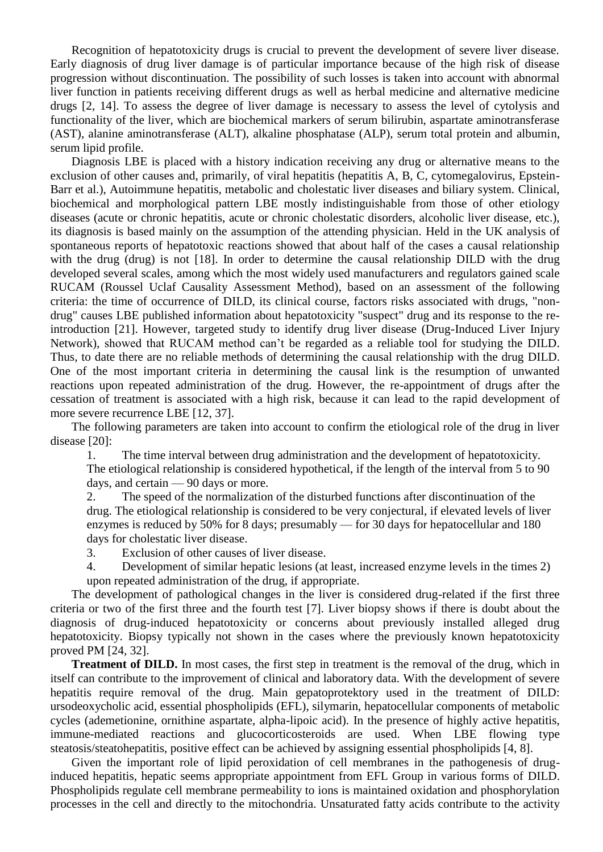Recognition of hepatotoxicity drugs is crucial to prevent the development of severe liver disease. Early diagnosis of drug liver damage is of particular importance because of the high risk of disease progression without discontinuation. The possibility of such losses is taken into account with abnormal liver function in patients receiving different drugs as well as herbal medicine and alternative medicine drugs [\[2,](https://translate.googleusercontent.com/translate_f#_Ref463020258) [14\]](https://translate.googleusercontent.com/translate_f#_Ref463020263). To assess the degree of liver damage is necessary to assess the level of cytolysis and functionality of the liver, which are biochemical markers of serum bilirubin, aspartate aminotransferase (AST), alanine aminotransferase (ALT), alkaline phosphatase (ALP), serum total protein and albumin, serum lipid profile.

Diagnosis LBE is placed with a history indication receiving any drug or alternative means to the exclusion of other causes and, primarily, of viral hepatitis (hepatitis A, B, C, cytomegalovirus, Epstein-Barr et al.), Autoimmune hepatitis, metabolic and cholestatic liver diseases and biliary system. Clinical, biochemical and morphological pattern LBE mostly indistinguishable from those of other etiology diseases (acute or chronic hepatitis, acute or chronic cholestatic disorders, alcoholic liver disease, etc.), its diagnosis is based mainly on the assumption of the attending physician. Held in the UK analysis of spontaneous reports of hepatotoxic reactions showed that about half of the cases a causal relationship with the drug (drug) is not [\[18\]](https://translate.googleusercontent.com/translate_f#_Ref463020268). In order to determine the causal relationship DILD with the drug developed several scales, among which the most widely used manufacturers and regulators gained scale RUCAM (Roussel Uclaf Causality Assessment Method), based on an assessment of the following criteria: the time of occurrence of DILD, its clinical course, factors risks associated with drugs, "nondrug" causes LBE published information about hepatotoxicity "suspect" drug and its response to the reintroduction [\[21\]](https://translate.googleusercontent.com/translate_f#_Ref463020272). However, targeted study to identify drug liver disease (Drug-Induced Liver Injury Network), showed that RUCAM method can't be regarded as a reliable tool for studying the DILD. Thus, to date there are no reliable methods of determining the causal relationship with the drug DILD. One of the most important criteria in determining the causal link is the resumption of unwanted reactions upon repeated administration of the drug. However, the re-appointment of drugs after the cessation of treatment is associated with a high risk, because it can lead to the rapid development of more severe recurrence LBE [\[12,](https://translate.googleusercontent.com/translate_f#_Ref463020278) [37\]](https://translate.googleusercontent.com/translate_f#_Ref463020275).

The following parameters are taken into account to confirm the etiological role of the drug in liver disease [\[20\]](https://translate.googleusercontent.com/translate_f#_Ref463020284):

1. The time interval between drug administration and the development of hepatotoxicity. The etiological relationship is considered hypothetical, if the length of the interval from 5 to 90 days, and certain — 90 days or more.

2. The speed of the normalization of the disturbed functions after discontinuation of the drug. The etiological relationship is considered to be very conjectural, if elevated levels of liver enzymes is reduced by 50% for 8 days; presumably — for 30 days for hepatocellular and 180 days for cholestatic liver disease.

3. Exclusion of other causes of liver disease.

4. Development of similar hepatic lesions (at least, increased enzyme levels in the times 2) upon repeated administration of the drug, if appropriate.

The development of pathological changes in the liver is considered drug-related if the first three criteria or two of the first three and the fourth test [\[7\]](https://translate.googleusercontent.com/translate_f#_Ref463020352). Liver biopsy shows if there is doubt about the diagnosis of drug-induced hepatotoxicity or concerns about previously installed alleged drug hepatotoxicity. Biopsy typically not shown in the cases where the previously known hepatotoxicity proved PM [\[24,](https://translate.googleusercontent.com/translate_f#_Ref463020361) [32\]](https://translate.googleusercontent.com/translate_f#_Ref463020356).

**Treatment of DILD.** In most cases, the first step in treatment is the removal of the drug, which in itself can contribute to the improvement of clinical and laboratory data. With the development of severe hepatitis require removal of the drug. Main gepatoprotektory used in the treatment of DILD: ursodeoxycholic acid, essential phospholipids (EFL), silymarin, hepatocellular components of metabolic cycles (ademetionine, ornithine aspartate, alpha-lipoic acid). In the presence of highly active hepatitis, immune-mediated reactions and glucocorticosteroids are used. When LBE flowing type steatosis/steatohepatitis, positive effect can be achieved by assigning essential phospholipids [\[4,](https://translate.googleusercontent.com/translate_f#_Ref463020365) [8\]](https://translate.googleusercontent.com/translate_f#_Ref463020368).

Given the important role of lipid peroxidation of cell membranes in the pathogenesis of druginduced hepatitis, hepatic seems appropriate appointment from EFL Group in various forms of DILD. Phospholipids regulate cell membrane permeability to ions is maintained oxidation and phosphorylation processes in the cell and directly to the mitochondria. Unsaturated fatty acids contribute to the activity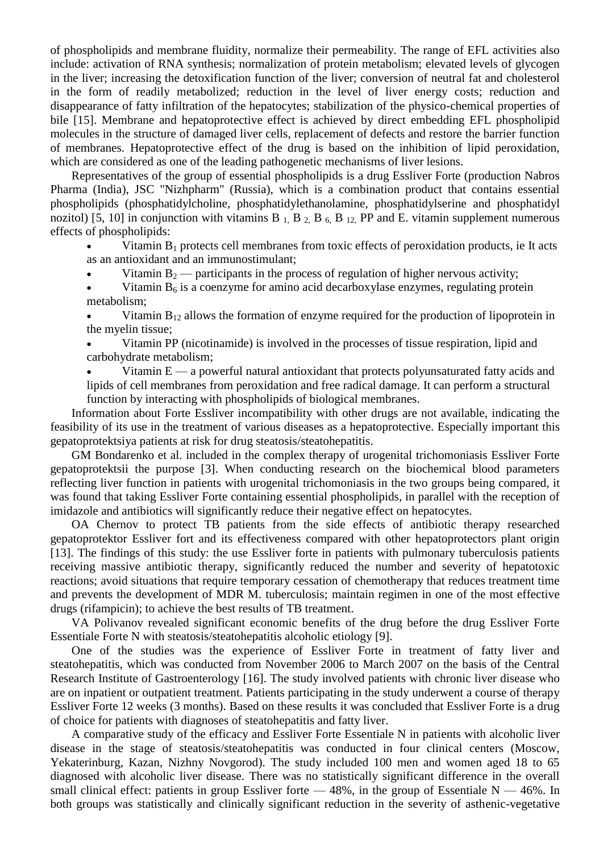of phospholipids and membrane fluidity, normalize their permeability. The range of EFL activities also include: activation of RNA synthesis; normalization of protein metabolism; elevated levels of glycogen in the liver; increasing the detoxification function of the liver; conversion of neutral fat and cholesterol in the form of readily metabolized; reduction in the level of liver energy costs; reduction and disappearance of fatty infiltration of the hepatocytes; stabilization of the physico-chemical properties of bile [\[15\]](https://translate.googleusercontent.com/translate_f#_Ref463020374). Membrane and hepatoprotective effect is achieved by direct embedding EFL phospholipid molecules in the structure of damaged liver cells, replacement of defects and restore the barrier function of membranes. Hepatoprotective effect of the drug is based on the inhibition of lipid peroxidation, which are considered as one of the leading pathogenetic mechanisms of liver lesions.

Representatives of the group of essential phospholipids is a drug Essliver Forte (production Nabros Pharma (India), JSC "Nizhpharm" (Russia), which is a combination product that contains essential phospholipids (phosphatidylcholine, phosphatidylethanolamine, phosphatidylserine and phosphatidyl nozitol) [\[5,](https://translate.googleusercontent.com/translate_f#_Ref463020381) [10\]](https://translate.googleusercontent.com/translate_f#_Ref463020378) in conjunction with vitamins B  $_1$ , B  $_2$ , B  $_6$ , B  $_{12}$ , PP and E. vitamin supplement numerous effects of phospholipids:

Vitamin  $B_1$  protects cell membranes from toxic effects of peroxidation products, ie It acts as an antioxidant and an immunostimulant;

Vitamin  $B_2$  — participants in the process of regulation of higher nervous activity;

Vitamin  $B_6$  is a coenzyme for amino acid decarboxylase enzymes, regulating protein metabolism;

Vitamin  $B_{12}$  allows the formation of enzyme required for the production of lipoprotein in the myelin tissue;

 Vitamin PP (nicotinamide) is involved in the processes of tissue respiration, lipid and carbohydrate metabolism;

Vitamin  $E - a$  powerful natural antioxidant that protects polyunsaturated fatty acids and lipids of cell membranes from peroxidation and free radical damage. It can perform a structural function by interacting with phospholipids of biological membranes.

Information about Forte Essliver incompatibility with other drugs are not available, indicating the feasibility of its use in the treatment of various diseases as a hepatoprotective. Especially important this gepatoprotektsiya patients at risk for drug steatosis/steatohepatitis.

GM Bondarenko et al. included in the complex therapy of urogenital trichomoniasis Essliver Forte gepatoprotektsii the purpose [\[3\]](https://translate.googleusercontent.com/translate_f#_Ref463020389). When conducting research on the biochemical blood parameters reflecting liver function in patients with urogenital trichomoniasis in the two groups being compared, it was found that taking Essliver Forte containing essential phospholipids, in parallel with the reception of imidazole and antibiotics will significantly reduce their negative effect on hepatocytes.

OA Chernov to protect TB patients from the side effects of antibiotic therapy researched gepatoprotektor Essliver fort and its effectiveness compared with other hepatoprotectors plant origin [\[13\]](https://translate.googleusercontent.com/translate_f#_Ref463020393). The findings of this study: the use Essliver forte in patients with pulmonary tuberculosis patients receiving massive antibiotic therapy, significantly reduced the number and severity of hepatotoxic reactions; avoid situations that require temporary cessation of chemotherapy that reduces treatment time and prevents the development of MDR M. tuberculosis; maintain regimen in one of the most effective drugs (rifampicin); to achieve the best results of TB treatment.

VA Polivanov revealed significant economic benefits of the drug before the drug Essliver Forte Essentiale Forte N with steatosis/steatohepatitis alcoholic etiology [\[9\]](https://translate.googleusercontent.com/translate_f#_Ref463020396).

One of the studies was the experience of Essliver Forte in treatment of fatty liver and steatohepatitis, which was conducted from November 2006 to March 2007 on the basis of the Central Research Institute of Gastroenterology [\[16\]](https://translate.googleusercontent.com/translate_f#_Ref463020399). The study involved patients with chronic liver disease who are on inpatient or outpatient treatment. Patients participating in the study underwent a course of therapy Essliver Forte 12 weeks (3 months). Based on these results it was concluded that Essliver Forte is a drug of choice for patients with diagnoses of steatohepatitis and fatty liver.

A comparative study of the efficacy and Essliver Forte Essentiale N in patients with alcoholic liver disease in the stage of steatosis/steatohepatitis was conducted in four clinical centers (Moscow, Yekaterinburg, Kazan, Nizhny Novgorod). The study included 100 men and women aged 18 to 65 diagnosed with alcoholic liver disease. There was no statistically significant difference in the overall small clinical effect: patients in group Essliver forte  $-48\%$ , in the group of Essentiale N  $-46\%$ . In both groups was statistically and clinically significant reduction in the severity of asthenic-vegetative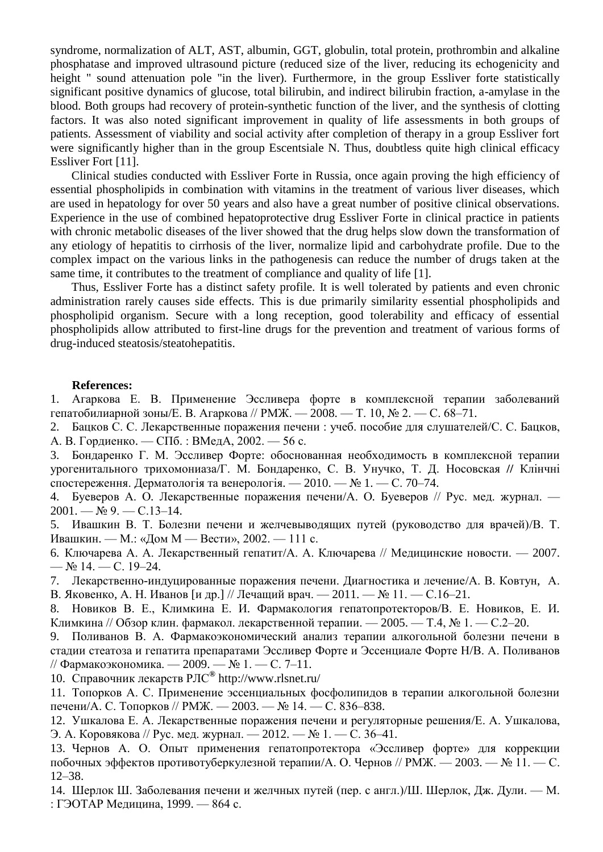syndrome, normalization of ALT, AST, albumin, GGT, globulin, total protein, prothrombin and alkaline phosphatase and improved ultrasound picture (reduced size of the liver, reducing its echogenicity and height " sound attenuation pole "in the liver). Furthermore, in the group Essliver forte statistically significant positive dynamics of glucose, total bilirubin, and indirect bilirubin fraction, a-amylase in the blood. Both groups had recovery of protein-synthetic function of the liver, and the synthesis of clotting factors. It was also noted significant improvement in quality of life assessments in both groups of patients. Assessment of viability and social activity after completion of therapy in a group Essliver fort were significantly higher than in the group Escentsiale N. Thus, doubtless quite high clinical efficacy Essliver Fort [\[11\]](https://translate.googleusercontent.com/translate_f#_Ref463020403).

Clinical studies conducted with Essliver Forte in Russia, once again proving the high efficiency of essential phospholipids in combination with vitamins in the treatment of various liver diseases, which are used in hepatology for over 50 years and also have a great number of positive clinical observations. Experience in the use of combined hepatoprotective drug Essliver Forte in clinical practice in patients with chronic metabolic diseases of the liver showed that the drug helps slow down the transformation of any etiology of hepatitis to cirrhosis of the liver, normalize lipid and carbohydrate profile. Due to the complex impact on the various links in the pathogenesis can reduce the number of drugs taken at the same time, it contributes to the treatment of compliance and quality of life [\[1\]](https://translate.googleusercontent.com/translate_f#_Ref463020407).

Thus, Essliver Forte has a distinct safety profile. It is well tolerated by patients and even chronic administration rarely causes side effects. This is due primarily similarity essential phospholipids and phospholipid organism. Secure with a long reception, good tolerability and efficacy of essential phospholipids allow attributed to first-line drugs for the prevention and treatment of various forms of drug-induced steatosis/steatohepatitis.

## **References:**

1. Агаркова Е. В. Применение Эссливера форте в комплексной терапии заболеваний гепатобилиарной зоны/Е. В. Агаркова // РМЖ. — 2008. — Т. 10, № 2. — С. 68–71.

2. Бацков С. С. Лекарственные поражения печени : учеб. пособие для слушателей/С. С. Бацков, А. В. Гордиенко. — СПб. : ВМедА, 2002. — 56 с.

3. Бондаренко Г. М. Эссливер Форте: обоснованная необходимость в комплексной терапии урогенитального трихомониаза/Г. М. Бондаренко, С. В. Унучко, Т. Д. Носовская **//** Клінчні спостереження. Дерматологія та венерологія. — 2010. — № 1. — С. 70–74.

4. Буеверов А. О*.* Лекарственные поражения печени/А. О*.* Буеверов // Рус. мед. журнал. — 2001. — № 9. — С.13–14.

5. Ивашкин В. Т. Болезни печени и желчевыводящих путей (руководство для врачей)/В. Т. Ивашкин. — М.: «Дом М — Вести», 2002. — 111 с.

6. Ключарева А. А. Лекарственный гепатит/А. А. Ключарева // Медицинские новости. — 2007. —  $N_2$  14. — C. 19–24.

7. Лекарственно-индуцированные поражения печени. Диагностика и лечение/А. В. [Ковтун,](http://www.lvrach.ru/author/11572455/) [А.](http://www.lvrach.ru/author/4717179/)  [В. Яковенко,](http://www.lvrach.ru/author/4717179/) [А. Н. Иванов](http://www.lvrach.ru/author/1084539/) [и др.] // Лечащий врач. — 2011. — № 11. — С.16–21.

8. Новиков В. Е., Климкина Е. И*.* Фармакология гепатопротекторов/В. Е. Новиков, Е. И*.*  Климкина // Обзор клин. фармакол. лекарственной терапии. — 2005. — Т.4, № 1. — С.2–20.

9. Поливанов В. А. Фармакоэкономический анализ терапии алкогольной болезни печени в стадии стеатоза и гепатита препаратами Эссливер Форте и Эссенциале Форте Н/В. А. Поливанов // Фармакоэкономика. — 2009. — № 1. — С. 7–11.

10. [Справочник лекарств РЛС](http://www.rlsnet.ru/)**®** http://www.rlsnet.ru/

11. Топорков А. С. Применение эссенциальных фосфолипидов в терапии алкогольной болезни печени/А. С. Топорков // РМЖ. — 2003. — № 14. — С. 836–838.

12. Ушкалова Е. А. Лекарственные поражения печени и регуляторные решения/Е. А. Ушкалова, Э. А. Коровякова // Рус. мед. журнал. — 2012. — № 1. — С. 36–41.

13. Чернов А. О. Опыт применения гепатопротектора «Эссливер форте» для коррекции побочных эффектов противотуберкулезной терапии/А. О. Чернов // РМЖ. — 2003. — № 11. — С. 12–38.

14. Шерлок Ш. Заболевания печени и желчных путей (пер. с англ.)/Ш. Шерлок, Дж. Дули. — М. : ГЭОТАР Медицина, 1999. — 864 с.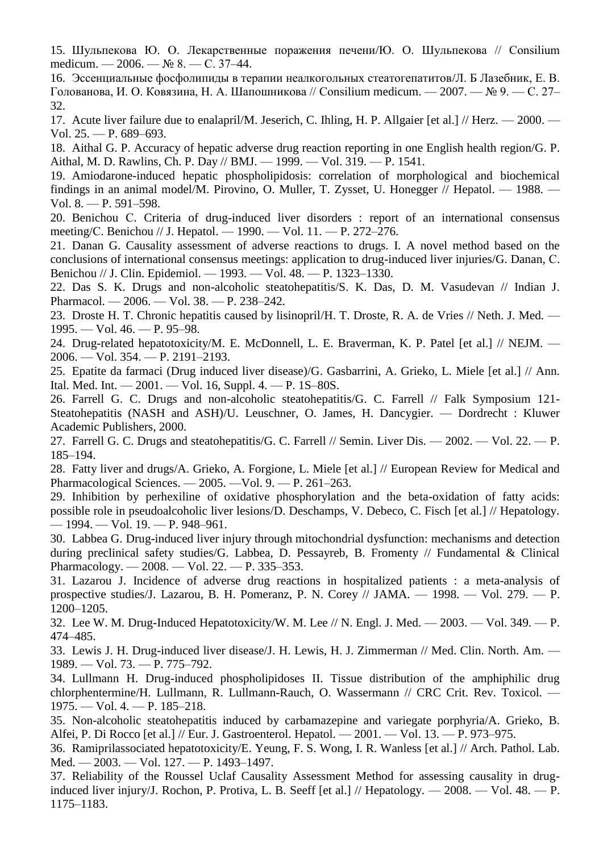15. Шульпекова Ю. О. Лекарственные поражения печени/Ю. О. Шульпекова // Consilium medicum. — 2006. — № 8. — С. 37–44.

16. Эссенциальные фосфолипиды в терапии неалкогольных стеатогепатитов/Л. Б Лазебник, Е. В. Голованова, И. О. Ковязина, Н. А. Шапошникова // Consilium medicum. — 2007. — № 9. — С. 27– 32.

17. Acute liver failure due to enalapril/M. Jeserich, C. Ihling, H. P. Allgaier [et al.] // Herz. — 2000. — Vol. 25. — P. 689–693.

18. Aithal G. P. Accuracy of hepatic adverse drug reaction reporting in one English health region/G. P. Aithal, M. D. Rawlins, Ch. P. Day // BMJ. — 1999. — Vol. 319. — P. 1541.

19. Amiodarone-induced hepatic phospholipidosis: correlation of morphological and biochemical findings in an animal model/M. Pirovino, O. Muller, T. Zysset, U. Honegger // Hepatol. — 1988. — Vol. 8. — P. 591–598.

20. Benichou С. Criteria of drug-induced liver disorders : report of an international consensus meeting/С. Benichou // J. Hepatol. — 1990. — Vol. 11. — P. 272–276.

21. Danan G. Causality assessment of adverse reactions to drugs. I. A novel method based on the conclusions of international consensus meetings: application to drug-induced liver injuries/G. Danan, С. Benichou // J. Clin. Epidemiol. — 1993. — Vol. 48. — P. 1323–1330.

22. Das S. K. Drugs and non-alcoholic steatohepatitis/S. K. Das, D. M. Vasudevan // Indian J. Pharmacol. — 2006. — Vol. 38. — P. 238–242.

23. Droste H. T. Chronic hepatitis caused by lisinopril/H. T. Droste, R. A. de Vries // Neth. J. Med. — 1995. — Vol. 46. — P. 95–98.

24. Drug-related hepatotoxicity/M. E. McDonnell, L. E. Braverman, K. P. Patel [et al.] // NEJM. — 2006. — Vol. 354. — P. 2191–2193.

25. Epatite da farmaci (Drug induced liver disease)/G. Gasbarrini, A. Grieko, L. Miele [et al.] // Ann. Ital. Med. Int. — 2001. — Vol. 16, Suppl. 4. — P. 1S–80S.

26. Farrell G. C. Drugs and non-alcoholic steatohepatitis/G. C. Farrell // Falk Symposium 121- Steatohepatitis (NASH and ASH)/U. Leuschner, O. James, H. Dancygier. — Dordrecht : Kluwer Academic Publishers, 2000.

27. Farrell G. C. Drugs and steatohepatitis/G. C. Farrell // Semin. Liver Dis. — 2002. — Vol. 22. — P. 185–194.

28. Fatty liver and drugs/A. Grieko, A. Forgione, L. Miele [et al.] // European Review for Medical and Pharmacological Sciences. — 2005. —Vol. 9. — P. 261–263.

29. Inhibition by perhexiline of oxidative phosphorylation and the beta-oxidation of fatty acids: possible role in pseudoalcoholic liver lesions/D. Deschamps, V. Debeco, C. Fisch [et al.] // Hepatology. — 1994. — Vol. 19. — P. 948–961.

30. Labbea G. Drug-induced liver injury through mitochondrial dysfunction: mechanisms and detection during preclinical safety studies/G. Labbea, D. Pessayreb, B. Fromenty // Fundamental & Clinical Pharmacology. — 2008. — Vol. 22. — P. 335–353.

31. Lazarou J. Incidence of adverse drug reactions in hospitalized patients : a meta-analysis of prospective studies/J. Lazarou, B. H. Pomeranz, P. N. Corey // JAMA. — 1998. — Vol. 279. — P. 1200–1205.

32. Lee W. M. Drug-Induced Hepatotoxicity/W. M. Lee // N. Engl. J. Med. — 2003. — Vol. 349. — P. 474–485.

33. Lewis J. H. Drug-induced liver disease/J. H. Lewis, H. J. Zimmerman // Med. Clin. North. Am. — 1989. — Vol. 73. — P. 775–792.

34. Lullmann H. Drug-induced phospholipidoses II. Tissue distribution of the amphiphilic drug chlorphentermine/H. Lullmann, R. Lullmann-Rauch, O. Wassermann // CRC Crit. Rev. Toxicol. — 1975. — Vol. 4. — P. 185–218.

35. Non-alcoholic steatohepatitis induced by carbamazepine and variegate porphyria/A. Grieko, B. Alfei, P. Di Rocco [et al.] // Eur. J. Gastroenterol. Hepatol. — 2001. — Vol. 13. — P. 973–975.

36. Ramiprilassociated hepatotoxicity/E. Yeung, F. S. Wong, I. R. Wanless [et al.] // Arch. Pathol. Lab. Med. — 2003. — Vol. 127. — P. 1493–1497.

37. Reliability of the Roussel Uclaf Causality Assessment Method for assessing causality in druginduced liver injury/J. Rochon, P. Protiva, L. B. Seeff [et al.] // Hepatology. — 2008. — Vol. 48. — P. 1175–1183.